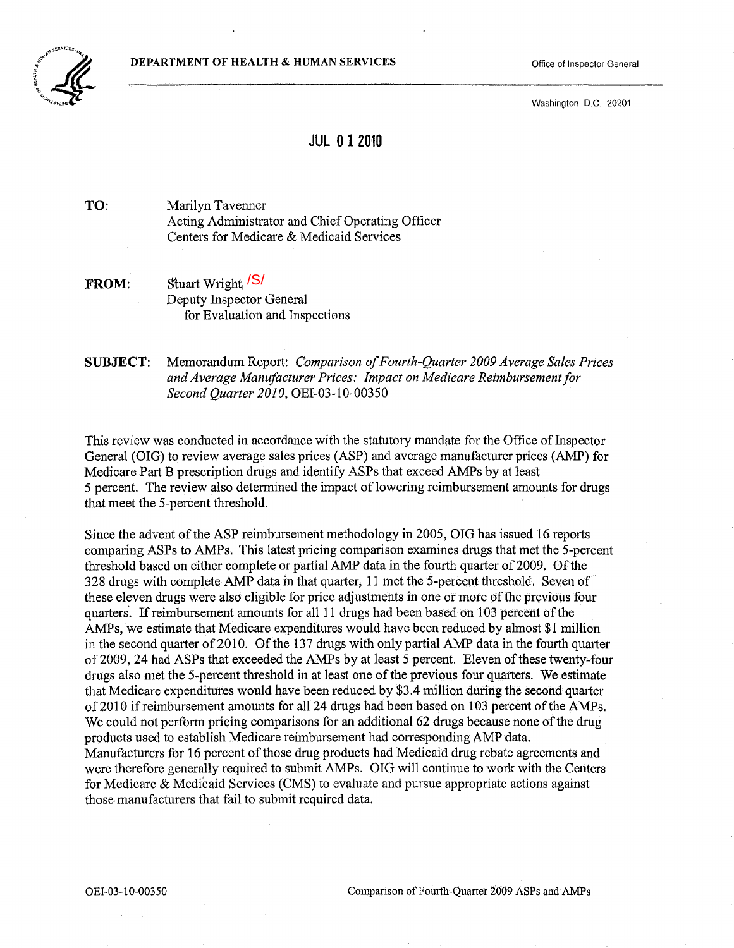DEPARTMENT OF HEALTH & HUMAN SERVICES **State of Inspector General** Office of Inspector General



Washington. D.C. 20201

# **JUL 012010**

TO: Marilyn Tavenner Acting Administrator and Chief Operating Officer Centers for Medicare & Medicaid Services

FROM: Stuart Wright, <sup>/S/</sup> Deputy Inspector General for Evaluation and Inspections

SUBJECT: Memorandum Report: *Comparison ofFourth-Quarter 2009 Average Sales Prices*  and Average Manufacturer Prices: Impact on Medicare Reimbursement for *Second Quarter 2010,* OEI-03-10-00350

This review was conducted in accordance with the statutory mandate for the Office of Inspector General (OIG) to review average sales prices (ASP) and average manufacturer prices (AMP) for Medicare Part B prescription drugs and identify ASPs that exceed AMPs by at least 5 percent. The review also determined the impact of lowering reimbursement amounts for drugs that meet the 5-percent threshold.

Since the advent of the ASP reimbursement methodology in 2005, OIG has issued 16 reports comparing ASPs to AMPs. This latest pricing comparison examines drugs that met the 5-percent threshold based on either complete or partial AMP data in the fourth quarter of 2009. Of the 328 drugs with complete AMP data in that quarter, 11 met the 5-percent threshold. Seven of these eleven drugs were also eligible for price adjustments in one or more of the previous four quarters'. If reimbursement amounts for all 11 drugs had been based on 103 percent ofthe AMPs, we estimate that Medicare expenditures would have been reduced by almost \$1 million in the second quarter of 2010. Of the 137 drugs with only partial AMP data in the fourth quarter of2009, 24 had ASPs that exceeded the AMPs by at least 5 percent. Eleven of these twenty-four drugs also met the 5-percent threshold in at least one of the previous four quarters. We estimate that Medicare expenditures would have been reduced by \$3.4 million during the second quarter of2010 ifreimbursement amounts for all 24 drugs had been based on 103 percent of the AMPs. We could not perform pricing comparisons for an additional 62 drugs because none of the drug products used to establish Medicare reimbursement had corresponding AMP data. Manufacturers for 16 percent of those drug products had Medicaid drug rebate agreements and were therefore generally required to submit AMPs. OIG will continue to work with the Centers for Medicare & Medicaid Services (CMS) to evaluate and pursue appropriate actions against those manufacturers that fail to submit required data.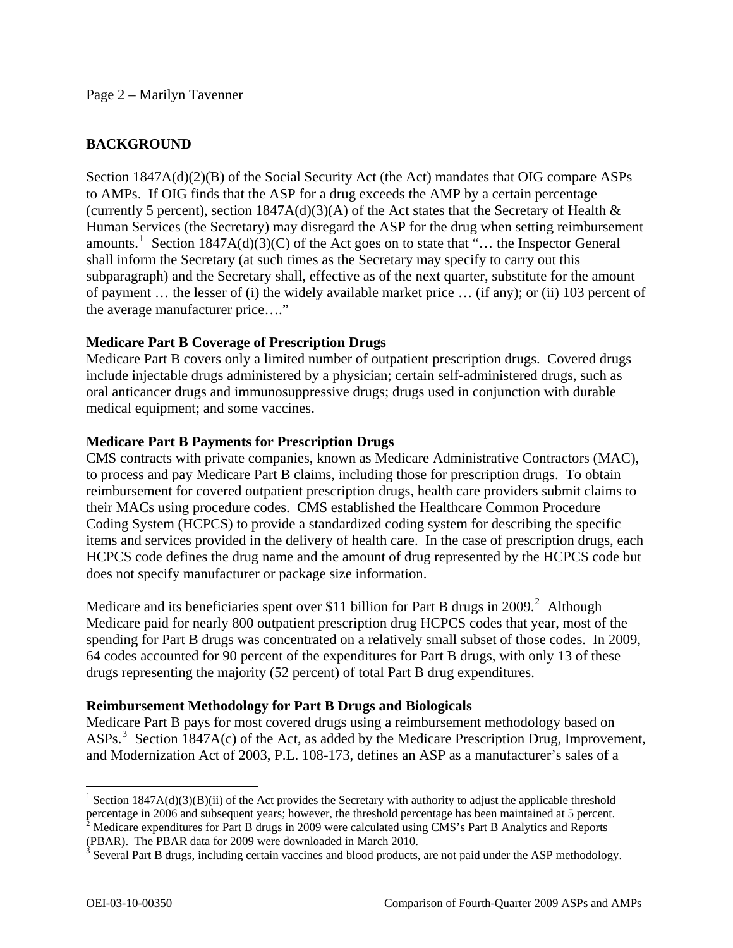### Page 2 – Marilyn Tavenner

## **BACKGROUND**

Section 1847A(d)(2)(B) of the Social Security Act (the Act) mandates that OIG compare ASPs to AMPs. If OIG finds that the ASP for a drug exceeds the AMP by a certain percentage (currently 5 percent), section  $1847A(d)(3)(A)$  of the Act states that the Secretary of Health  $\&$ Human Services (the Secretary) may disregard the ASP for the drug when setting reimbursement amounts.<sup>[1](#page-1-0)</sup> Section 1847A(d)(3)(C) of the Act goes on to state that "... the Inspector General shall inform the Secretary (at such times as the Secretary may specify to carry out this subparagraph) and the Secretary shall, effective as of the next quarter, substitute for the amount of payment … the lesser of (i) the widely available market price … (if any); or (ii) 103 percent of the average manufacturer price…."

## **Medicare Part B Coverage of Prescription Drugs**

Medicare Part B covers only a limited number of outpatient prescription drugs. Covered drugs include injectable drugs administered by a physician; certain self-administered drugs, such as oral anticancer drugs and immunosuppressive drugs; drugs used in conjunction with durable medical equipment; and some vaccines.

## **Medicare Part B Payments for Prescription Drugs**

CMS contracts with private companies, known as Medicare Administrative Contractors (MAC), to process and pay Medicare Part B claims, including those for prescription drugs. To obtain reimbursement for covered outpatient prescription drugs, health care providers submit claims to their MACs using procedure codes. CMS established the Healthcare Common Procedure Coding System (HCPCS) to provide a standardized coding system for describing the specific items and services provided in the delivery of health care. In the case of prescription drugs, each HCPCS code defines the drug name and the amount of drug represented by the HCPCS code but does not specify manufacturer or package size information.

Medicare and its beneficiaries spent over \$11 billion for Part B drugs in [2](#page-1-1)009.<sup>2</sup> Although Medicare paid for nearly 800 outpatient prescription drug HCPCS codes that year, most of the spending for Part B drugs was concentrated on a relatively small subset of those codes. In 2009, 64 codes accounted for 90 percent of the expenditures for Part B drugs, with only 13 of these drugs representing the majority (52 percent) of total Part B drug expenditures.

## **Reimbursement Methodology for Part B Drugs and Biologicals**

Medicare Part B pays for most covered drugs using a reimbursement methodology based on ASPs.<sup>[3](#page-1-2)</sup> Section 1847A(c) of the Act, as added by the Medicare Prescription Drug, Improvement, and Modernization Act of 2003, P.L. 108-173, defines an ASP as a manufacturer's sales of a

<span id="page-1-0"></span><sup>&</sup>lt;sup>1</sup> Section 1847A(d)(3)(B)(ii) of the Act provides the Secretary with authority to adjust the applicable threshold percentage in 2006 and subsequent years; however, the threshold percentage has been maintained at 5 percent.<br><sup>2</sup> Medicare expenditures for Part B drugs in 2009 were calculated using CMS's Part B Analytics and Reports

<span id="page-1-1"></span><sup>(</sup>PBAR). The PBAR data for 2009 were downloaded in March 2010.

<span id="page-1-2"></span> $3$  Several Part B drugs, including certain vaccines and blood products, are not paid under the ASP methodology.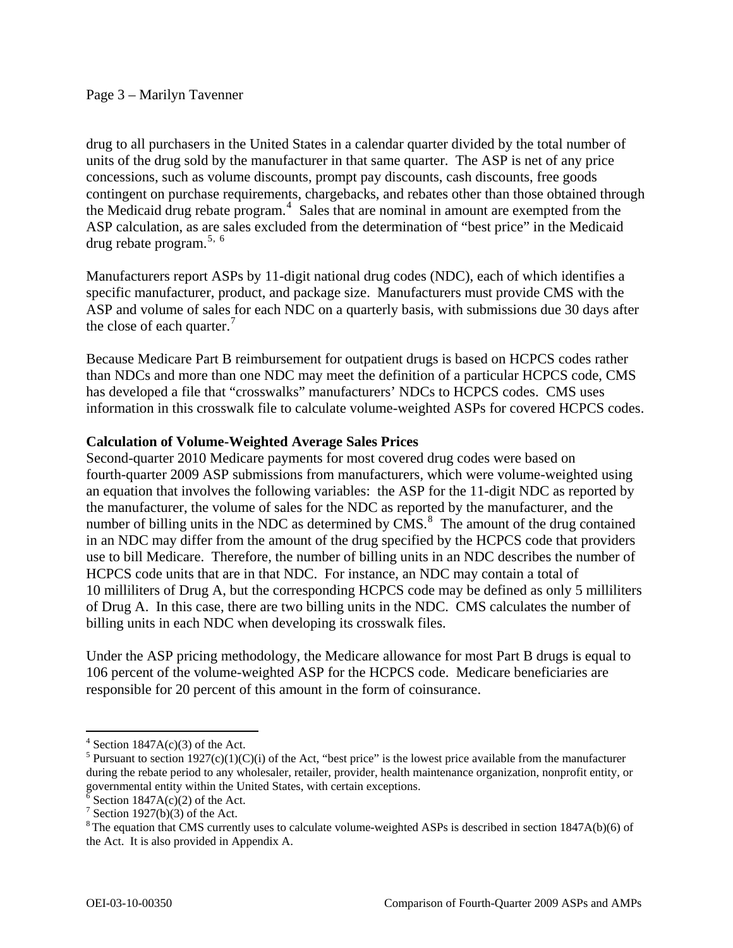drug to all purchasers in the United States in a calendar quarter divided by the total number of units of the drug sold by the manufacturer in that same quarter. The ASP is net of any price concessions, such as volume discounts, prompt pay discounts, cash discounts, free goods contingent on purchase requirements, chargebacks, and rebates other than those obtained through the Medicaid drug rebate program. $4$  Sales that are nominal in amount are exempted from the ASP calculation, as are sales excluded from the determination of "best price" in the Medicaid drug rebate program. $5, 6$  $5, 6$  $5, 6$ 

Manufacturers report ASPs by 11-digit national drug codes (NDC), each of which identifies a specific manufacturer, product, and package size. Manufacturers must provide CMS with the ASP and volume of sales for each NDC on a quarterly basis, with submissions due 30 days after the close of each quarter. $\frac{7}{7}$  $\frac{7}{7}$  $\frac{7}{7}$ 

Because Medicare Part B reimbursement for outpatient drugs is based on HCPCS codes rather than NDCs and more than one NDC may meet the definition of a particular HCPCS code, CMS has developed a file that "crosswalks" manufacturers' NDCs to HCPCS codes. CMS uses information in this crosswalk file to calculate volume-weighted ASPs for covered HCPCS codes.

## **Calculation of Volume-Weighted Average Sales Prices**

Second-quarter 2010 Medicare payments for most covered drug codes were based on fourth-quarter 2009 ASP submissions from manufacturers, which were volume-weighted using an equation that involves the following variables: the ASP for the 11-digit NDC as reported by the manufacturer, the volume of sales for the NDC as reported by the manufacturer, and the number of billing units in the NDC as determined by  $\overline{CMS}$ .<sup>[8](#page-2-4)</sup> The amount of the drug contained in an NDC may differ from the amount of the drug specified by the HCPCS code that providers use to bill Medicare. Therefore, the number of billing units in an NDC describes the number of HCPCS code units that are in that NDC. For instance, an NDC may contain a total of 10 milliliters of Drug A, but the corresponding HCPCS code may be defined as only 5 milliliters of Drug A. In this case, there are two billing units in the NDC. CMS calculates the number of billing units in each NDC when developing its crosswalk files.

Under the ASP pricing methodology, the Medicare allowance for most Part B drugs is equal to 106 percent of the volume-weighted ASP for the HCPCS code. Medicare beneficiaries are responsible for 20 percent of this amount in the form of coinsurance.

<span id="page-2-0"></span> $4$  Section 1847A(c)(3) of the Act.

<span id="page-2-1"></span><sup>&</sup>lt;sup>5</sup> Pursuant to section 1927(c)(1)(C)(i) of the Act, "best price" is the lowest price available from the manufacturer during the rebate period to any wholesaler, retailer, provider, health maintenance organization, nonprofit entity, or governmental entity within the United States, with certain exceptions.

<span id="page-2-2"></span> $\delta$  Section 1847A(c)(2) of the Act.

<sup>&</sup>lt;sup>7</sup> Section 1927(b)(3) of the Act.

<span id="page-2-4"></span><span id="page-2-3"></span><sup>&</sup>lt;sup>8</sup> The equation that CMS currently uses to calculate volume-weighted ASPs is described in section 1847A(b)(6) of the Act. It is also provided in Appendix A.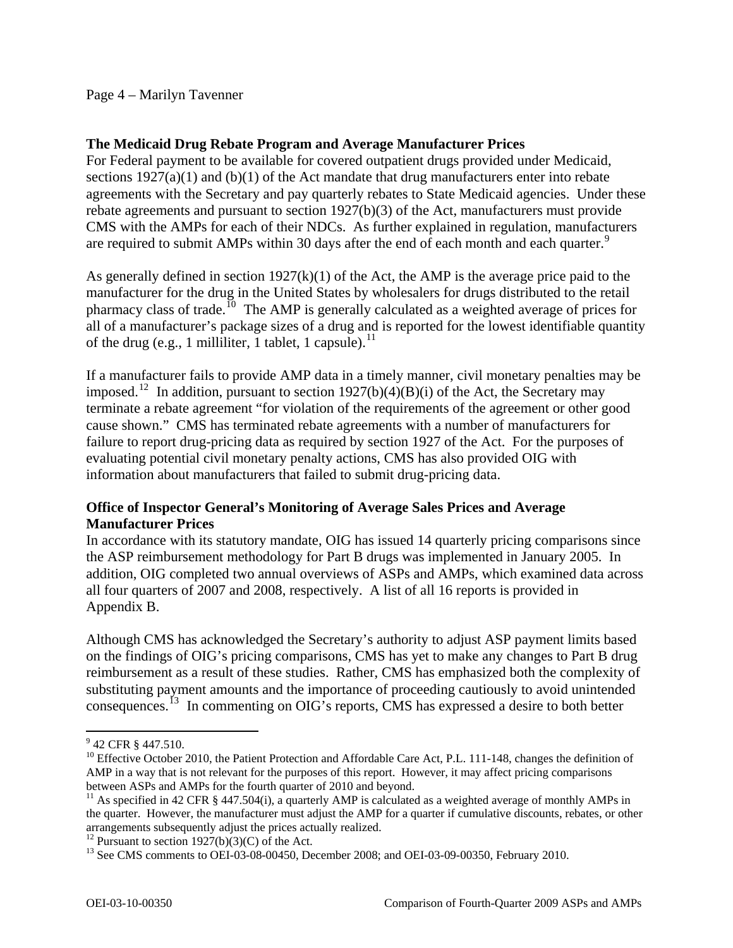### Page 4 – Marilyn Tavenner

### **The Medicaid Drug Rebate Program and Average Manufacturer Prices**

For Federal payment to be available for covered outpatient drugs provided under Medicaid, sections 1927(a)(1) and (b)(1) of the Act mandate that drug manufacturers enter into rebate agreements with the Secretary and pay quarterly rebates to State Medicaid agencies. Under these rebate agreements and pursuant to section 1927(b)(3) of the Act, manufacturers must provide CMS with the AMPs for each of their NDCs. As further explained in regulation, manufacturers are required to submit AMPs within 30 days after the end of each month and each quarter.<sup>[9](#page-3-0)</sup>

As generally defined in section  $1927(k)(1)$  of the Act, the AMP is the average price paid to the manufacturer for the drug in the United States by wholesalers for drugs distributed to the retail pharmacy class of trade.<sup>[10](#page-3-1)</sup> The AMP is generally calculated as a weighted average of prices for all of a manufacturer's package sizes of a drug and is reported for the lowest identifiable quantity of the drug (e.g., 1 milliliter, 1 tablet, 1 capsule).<sup>[11](#page-3-2)</sup>

If a manufacturer fails to provide AMP data in a timely manner, civil monetary penalties may be imposed.<sup>[12](#page-3-3)</sup> In addition, pursuant to section 1927(b)(4)(B)(i) of the Act, the Secretary may terminate a rebate agreement "for violation of the requirements of the agreement or other good cause shown." CMS has terminated rebate agreements with a number of manufacturers for failure to report drug-pricing data as required by section 1927 of the Act. For the purposes of evaluating potential civil monetary penalty actions, CMS has also provided OIG with information about manufacturers that failed to submit drug-pricing data.

## **Office of Inspector General's Monitoring of Average Sales Prices and Average Manufacturer Prices**

In accordance with its statutory mandate, OIG has issued 14 quarterly pricing comparisons since the ASP reimbursement methodology for Part B drugs was implemented in January 2005. In addition, OIG completed two annual overviews of ASPs and AMPs, which examined data across all four quarters of 2007 and 2008, respectively. A list of all 16 reports is provided in Appendix B.

Although CMS has acknowledged the Secretary's authority to adjust ASP payment limits based on the findings of OIG's pricing comparisons, CMS has yet to make any changes to Part B drug reimbursement as a result of these studies. Rather, CMS has emphasized both the complexity of substituting payment amounts and the importance of proceeding cautiously to avoid unintended consequences.[13](#page-3-4) In commenting on OIG's reports, CMS has expressed a desire to both better

<span id="page-3-0"></span><sup>&</sup>lt;sup>9</sup> 42 CFR § 447.510.

<span id="page-3-1"></span><sup>&</sup>lt;sup>10</sup> Effective October 2010, the Patient Protection and Affordable Care Act, P.L. 111-148, changes the definition of AMP in a way that is not relevant for the purposes of this report. However, it may affect pricing comparisons between ASPs and AMPs for the fourth quarter of 2010 and beyond.

<span id="page-3-2"></span><sup>&</sup>lt;sup>11</sup> As specified in 42 CFR § 447.504(i), a quarterly AMP is calculated as a weighted average of monthly AMPs in the quarter. However, the manufacturer must adjust the AMP for a quarter if cumulative discounts, rebates, or other arrangements subsequently adjust the prices actually realized.<br><sup>12</sup> Pursuant to section 1927(b)(3)(C) of the Act.

<span id="page-3-3"></span>

<span id="page-3-4"></span><sup>&</sup>lt;sup>13</sup> See CMS comments to OEI-03-08-00450, December 2008; and OEI-03-09-00350, February 2010.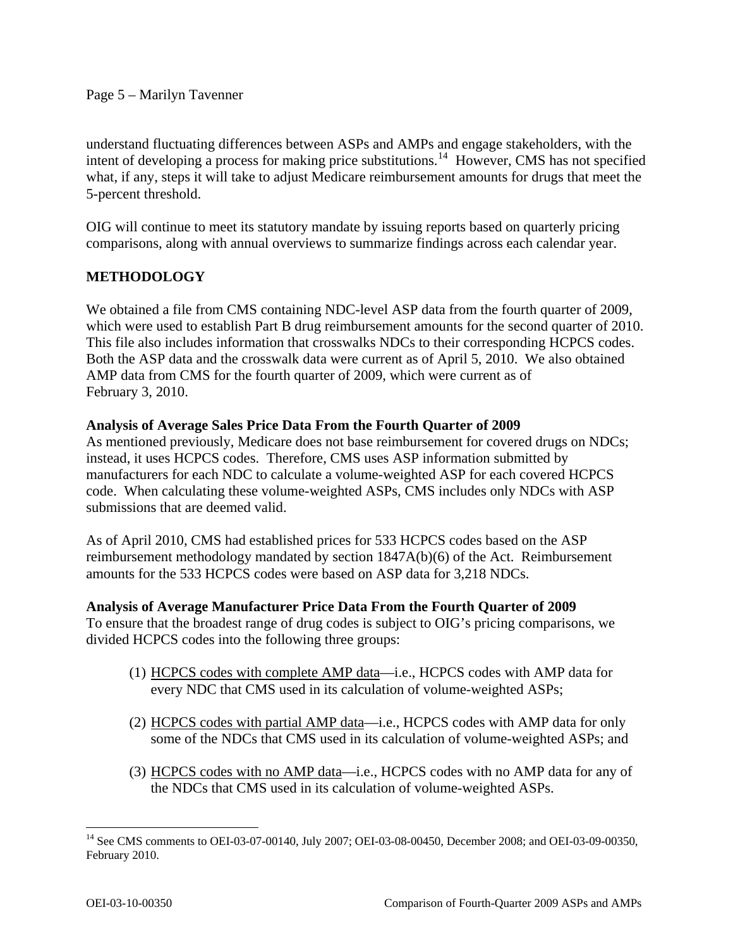### Page 5 – Marilyn Tavenner

understand fluctuating differences between ASPs and AMPs and engage stakeholders, with the intent of developing a process for making price substitutions.<sup>[14](#page-4-0)</sup> However, CMS has not specified what, if any, steps it will take to adjust Medicare reimbursement amounts for drugs that meet the 5-percent threshold.

OIG will continue to meet its statutory mandate by issuing reports based on quarterly pricing comparisons, along with annual overviews to summarize findings across each calendar year.

# **METHODOLOGY**

We obtained a file from CMS containing NDC-level ASP data from the fourth quarter of 2009, which were used to establish Part B drug reimbursement amounts for the second quarter of 2010. This file also includes information that crosswalks NDCs to their corresponding HCPCS codes. Both the ASP data and the crosswalk data were current as of April 5, 2010. We also obtained AMP data from CMS for the fourth quarter of 2009, which were current as of February 3, 2010.

### **Analysis of Average Sales Price Data From the Fourth Quarter of 2009**

As mentioned previously, Medicare does not base reimbursement for covered drugs on NDCs; instead, it uses HCPCS codes. Therefore, CMS uses ASP information submitted by manufacturers for each NDC to calculate a volume-weighted ASP for each covered HCPCS code. When calculating these volume-weighted ASPs, CMS includes only NDCs with ASP submissions that are deemed valid.

As of April 2010, CMS had established prices for 533 HCPCS codes based on the ASP reimbursement methodology mandated by section 1847A(b)(6) of the Act. Reimbursement amounts for the 533 HCPCS codes were based on ASP data for 3,218 NDCs.

#### **Analysis of Average Manufacturer Price Data From the Fourth Quarter of 2009**

To ensure that the broadest range of drug codes is subject to OIG's pricing comparisons, we divided HCPCS codes into the following three groups:

- (1) HCPCS codes with complete AMP data—i.e., HCPCS codes with AMP data for every NDC that CMS used in its calculation of volume-weighted ASPs;
- (2) HCPCS codes with partial AMP data—i.e., HCPCS codes with AMP data for only some of the NDCs that CMS used in its calculation of volume-weighted ASPs; and
- (3) HCPCS codes with no AMP data—i.e., HCPCS codes with no AMP data for any of the NDCs that CMS used in its calculation of volume-weighted ASPs.

<span id="page-4-0"></span> $\overline{a}$ <sup>14</sup> See CMS comments to OEI-03-07-00140, July 2007; OEI-03-08-00450, December 2008; and OEI-03-09-00350, February 2010.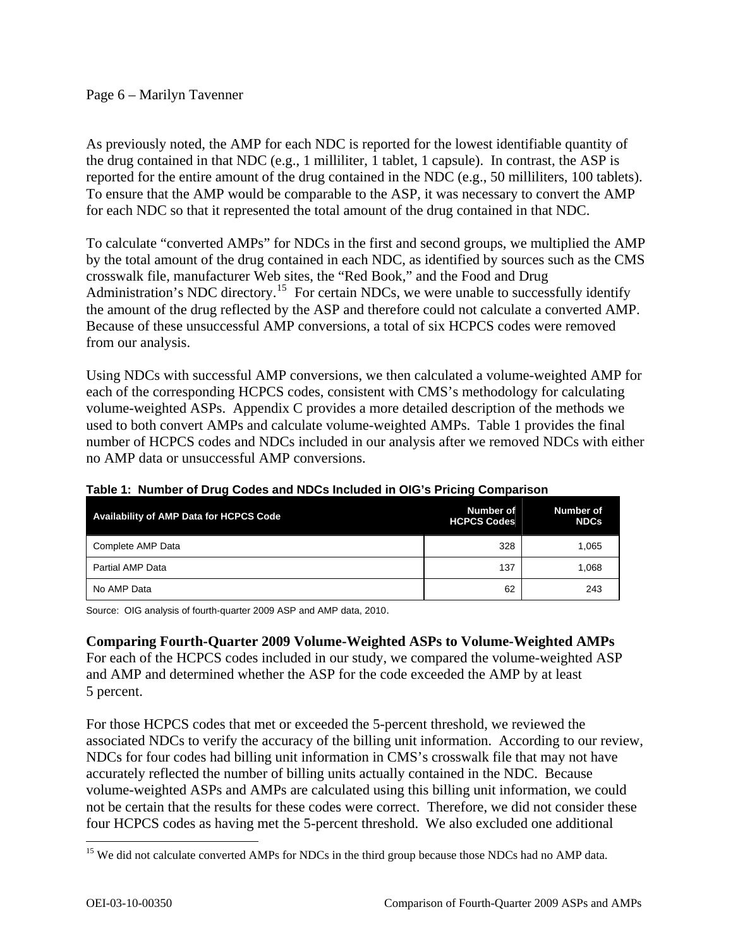## Page 6 – Marilyn Tavenner

As previously noted, the AMP for each NDC is reported for the lowest identifiable quantity of the drug contained in that NDC (e.g., 1 milliliter, 1 tablet, 1 capsule). In contrast, the ASP is reported for the entire amount of the drug contained in the NDC (e.g., 50 milliliters, 100 tablets). To ensure that the AMP would be comparable to the ASP, it was necessary to convert the AMP for each NDC so that it represented the total amount of the drug contained in that NDC.

To calculate "converted AMPs" for NDCs in the first and second groups, we multiplied the AMP by the total amount of the drug contained in each NDC, as identified by sources such as the CMS crosswalk file, manufacturer Web sites, the "Red Book," and the Food and Drug Administration's NDC directory.<sup>[15](#page-5-0)</sup> For certain NDCs, we were unable to successfully identify the amount of the drug reflected by the ASP and therefore could not calculate a converted AMP. Because of these unsuccessful AMP conversions, a total of six HCPCS codes were removed from our analysis.

Using NDCs with successful AMP conversions, we then calculated a volume-weighted AMP for each of the corresponding HCPCS codes, consistent with CMS's methodology for calculating volume-weighted ASPs. Appendix C provides a more detailed description of the methods we used to both convert AMPs and calculate volume-weighted AMPs. Table 1 provides the final number of HCPCS codes and NDCs included in our analysis after we removed NDCs with either no AMP data or unsuccessful AMP conversions.

| Availability of AMP Data for HCPCS Code | Number of<br><b>HCPCS Codes</b> | Number of<br><b>NDCs</b> |
|-----------------------------------------|---------------------------------|--------------------------|
| Complete AMP Data                       | 328                             | 1.065                    |
| Partial AMP Data                        | 137                             | 1.068                    |
| No AMP Data                             | 62                              | 243                      |

## **Table 1: Number of Drug Codes and NDCs Included in OIG's Pricing Comparison**

Source: OIG analysis of fourth-quarter 2009 ASP and AMP data, 2010.

## **Comparing Fourth-Quarter 2009 Volume-Weighted ASPs to Volume-Weighted AMPs**

For each of the HCPCS codes included in our study, we compared the volume-weighted ASP and AMP and determined whether the ASP for the code exceeded the AMP by at least 5 percent.

For those HCPCS codes that met or exceeded the 5-percent threshold, we reviewed the associated NDCs to verify the accuracy of the billing unit information. According to our review, NDCs for four codes had billing unit information in CMS's crosswalk file that may not have accurately reflected the number of billing units actually contained in the NDC. Because volume-weighted ASPs and AMPs are calculated using this billing unit information, we could not be certain that the results for these codes were correct. Therefore, we did not consider these four HCPCS codes as having met the 5-percent threshold. We also excluded one additional

<span id="page-5-0"></span><sup>&</sup>lt;sup>15</sup> We did not calculate converted AMPs for NDCs in the third group because those NDCs had no AMP data.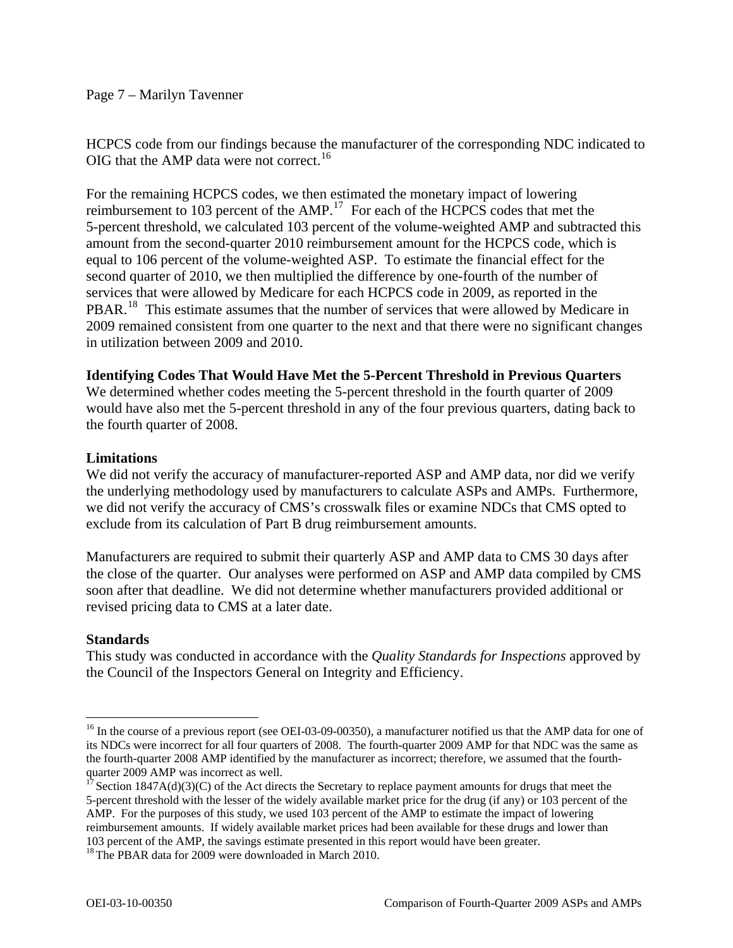### Page 7 – Marilyn Tavenner

HCPCS code from our findings because the manufacturer of the corresponding NDC indicated to OIG that the AMP data were not correct.<sup>[16](#page-6-0)</sup>

For the remaining HCPCS codes, we then estimated the monetary impact of lowering reimbursement to 103 percent of the AMP.<sup>[17](#page-6-1)</sup> For each of the HCPCS codes that met the 5-percent threshold, we calculated 103 percent of the volume-weighted AMP and subtracted this amount from the second-quarter 2010 reimbursement amount for the HCPCS code, which is equal to 106 percent of the volume-weighted ASP. To estimate the financial effect for the second quarter of 2010, we then multiplied the difference by one-fourth of the number of services that were allowed by Medicare for each HCPCS code in 2009, as reported in the PBAR.<sup>[18](#page-6-2)</sup> This estimate assumes that the number of services that were allowed by Medicare in 2009 remained consistent from one quarter to the next and that there were no significant changes in utilization between 2009 and 2010.

## **Identifying Codes That Would Have Met the 5-Percent Threshold in Previous Quarters**

We determined whether codes meeting the 5-percent threshold in the fourth quarter of 2009 would have also met the 5-percent threshold in any of the four previous quarters, dating back to the fourth quarter of 2008.

### **Limitations**

We did not verify the accuracy of manufacturer-reported ASP and AMP data, nor did we verify the underlying methodology used by manufacturers to calculate ASPs and AMPs. Furthermore, we did not verify the accuracy of CMS's crosswalk files or examine NDCs that CMS opted to exclude from its calculation of Part B drug reimbursement amounts.

Manufacturers are required to submit their quarterly ASP and AMP data to CMS 30 days after the close of the quarter. Our analyses were performed on ASP and AMP data compiled by CMS soon after that deadline. We did not determine whether manufacturers provided additional or revised pricing data to CMS at a later date.

## **Standards**

 $\overline{a}$ 

This study was conducted in accordance with the *Quality Standards for Inspections* approved by the Council of the Inspectors General on Integrity and Efficiency.

<span id="page-6-0"></span><sup>&</sup>lt;sup>16</sup> In the course of a previous report (see OEI-03-09-00350), a manufacturer notified us that the AMP data for one of its NDCs were incorrect for all four quarters of 2008. The fourth-quarter 2009 AMP for that NDC was the same as the fourth-quarter 2008 AMP identified by the manufacturer as incorrect; therefore, we assumed that the fourthquarter 2009 AMP was incorrect as well.

<span id="page-6-1"></span><sup>&</sup>lt;sup>17</sup> Section 1847A(d)(3)(C) of the Act directs the Secretary to replace payment amounts for drugs that meet the 5-percent threshold with the lesser of the widely available market price for the drug (if any) or 103 percent of the AMP. For the purposes of this study, we used 103 percent of the AMP to estimate the impact of lowering reimbursement amounts. If widely available market prices had been available for these drugs and lower than 103 percent of the AMP, the savings estimate presented in this report would have been greater.

<span id="page-6-2"></span><sup>&</sup>lt;sup>18</sup> The PBAR data for 2009 were downloaded in March 2010.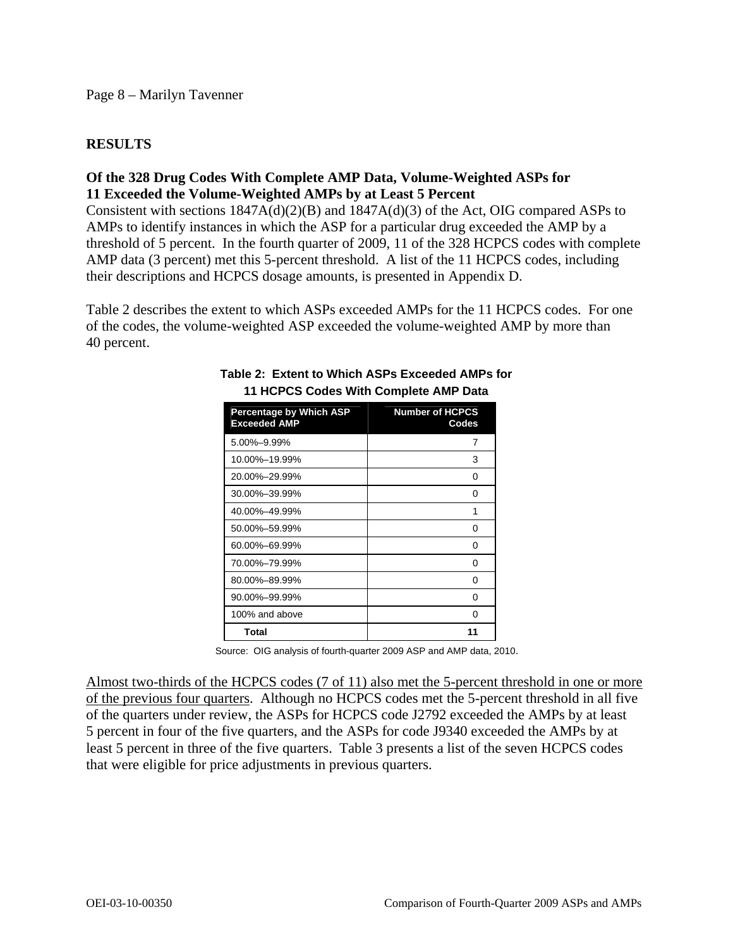## **RESULTS**

# **Of the 328 Drug Codes With Complete AMP Data, Volume-Weighted ASPs for 11 Exceeded the Volume-Weighted AMPs by at Least 5 Percent**

Consistent with sections 1847A(d)(2)(B) and 1847A(d)(3) of the Act, OIG compared ASPs to AMPs to identify instances in which the ASP for a particular drug exceeded the AMP by a threshold of 5 percent. In the fourth quarter of 2009, 11 of the 328 HCPCS codes with complete AMP data (3 percent) met this 5-percent threshold. A list of the 11 HCPCS codes, including their descriptions and HCPCS dosage amounts, is presented in Appendix D.

Table 2 describes the extent to which ASPs exceeded AMPs for the 11 HCPCS codes. For one of the codes, the volume-weighted ASP exceeded the volume-weighted AMP by more than 40 percent.

| <b>Percentage by Which ASP</b><br><b>Exceeded AMP</b> | <b>Number of HCPCS</b><br>Codes |
|-------------------------------------------------------|---------------------------------|
| 5.00%-9.99%                                           | 7                               |
| 10.00%-19.99%                                         | 3                               |
| 20.00%-29.99%                                         | O                               |
| 30.00%-39.99%                                         | 0                               |
| 40.00%-49.99%                                         | 1                               |
| 50.00%-59.99%                                         | 0                               |
| 60.00%-69.99%                                         | 0                               |
| 70.00%-79.99%                                         | ŋ                               |
| 80.00%-89.99%                                         | 0                               |
| 90.00%-99.99%                                         | O                               |
| 100% and above                                        | O                               |
| Total                                                 |                                 |

#### **Table 2: Extent to Which ASPs Exceeded AMPs for 11 HCPCS Codes With Complete AMP Data**

Source: OIG analysis of fourth-quarter 2009 ASP and AMP data, 2010.

Almost two-thirds of the HCPCS codes (7 of 11) also met the 5-percent threshold in one or more of the previous four quarters. Although no HCPCS codes met the 5-percent threshold in all five of the quarters under review, the ASPs for HCPCS code J2792 exceeded the AMPs by at least 5 percent in four of the five quarters, and the ASPs for code J9340 exceeded the AMPs by at least 5 percent in three of the five quarters. Table 3 presents a list of the seven HCPCS codes that were eligible for price adjustments in previous quarters.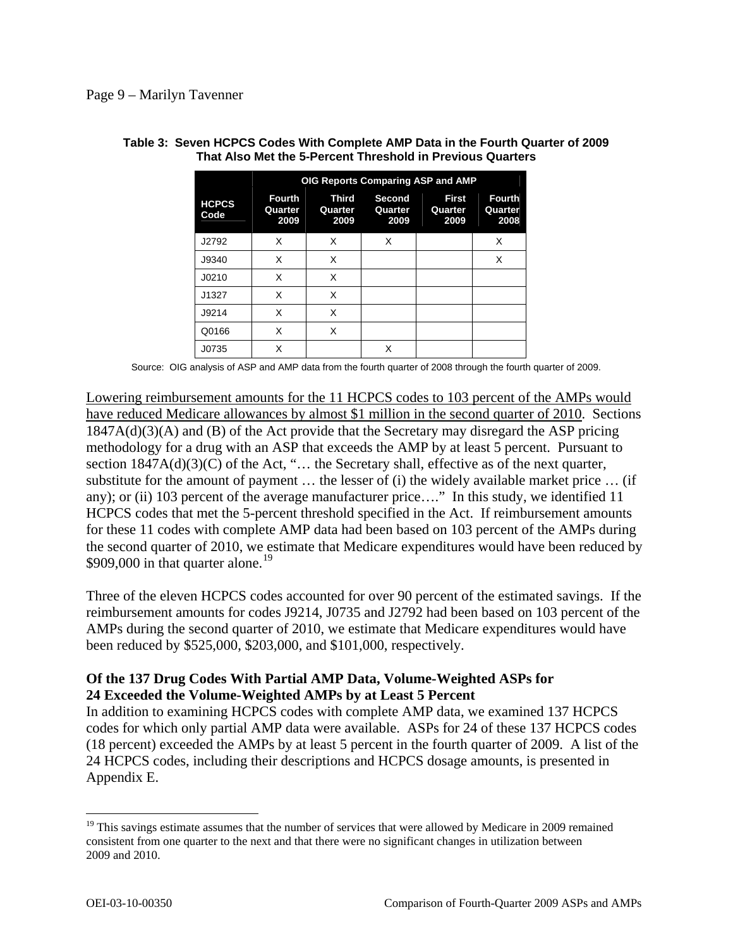|                      | <b>OIG Reports Comparing ASP and AMP</b> |                          |                           |                                 |                                  |
|----------------------|------------------------------------------|--------------------------|---------------------------|---------------------------------|----------------------------------|
| <b>HCPCS</b><br>Code | <b>Fourth</b><br>Quarter<br>2009         | Third<br>Quarter<br>2009 | Second<br>Quarter<br>2009 | <b>First</b><br>Quarter<br>2009 | <b>Fourth</b><br>Quarter<br>2008 |
| J2792                | X                                        | X                        | X                         |                                 | X                                |
| J9340                | X                                        | X                        |                           |                                 | Х                                |
| J0210                | X                                        | X                        |                           |                                 |                                  |
| J1327                | X                                        | X                        |                           |                                 |                                  |
| J9214                | X                                        | X                        |                           |                                 |                                  |
| Q0166                | X                                        | X                        |                           |                                 |                                  |
| J0735                | X                                        |                          | X                         |                                 |                                  |

#### **Table 3: Seven HCPCS Codes With Complete AMP Data in the Fourth Quarter of 2009 That Also Met the 5-Percent Threshold in Previous Quarters**

Source: OIG analysis of ASP and AMP data from the fourth quarter of 2008 through the fourth quarter of 2009.

Lowering reimbursement amounts for the 11 HCPCS codes to 103 percent of the AMPs would have reduced Medicare allowances by almost \$1 million in the second quarter of 2010. Sections 1847A(d)(3)(A) and (B) of the Act provide that the Secretary may disregard the ASP pricing methodology for a drug with an ASP that exceeds the AMP by at least 5 percent. Pursuant to section  $1847A(d)(3)(C)$  of the Act, "... the Secretary shall, effective as of the next quarter, substitute for the amount of payment … the lesser of (i) the widely available market price … (if any); or (ii) 103 percent of the average manufacturer price...." In this study, we identified 11 HCPCS codes that met the 5-percent threshold specified in the Act. If reimbursement amounts for these 11 codes with complete AMP data had been based on 103 percent of the AMPs during the second quarter of 2010, we estimate that Medicare expenditures would have been reduced by \$909,000 in that quarter alone.<sup>[19](#page-8-0)</sup>

Three of the eleven HCPCS codes accounted for over 90 percent of the estimated savings. If the reimbursement amounts for codes J9214, J0735 and J2792 had been based on 103 percent of the AMPs during the second quarter of 2010, we estimate that Medicare expenditures would have been reduced by \$525,000, \$203,000, and \$101,000, respectively.

# **Of the 137 Drug Codes With Partial AMP Data, Volume-Weighted ASPs for 24 Exceeded the Volume-Weighted AMPs by at Least 5 Percent**

In addition to examining HCPCS codes with complete AMP data, we examined 137 HCPCS codes for which only partial AMP data were available. ASPs for 24 of these 137 HCPCS codes (18 percent) exceeded the AMPs by at least 5 percent in the fourth quarter of 2009. A list of the 24 HCPCS codes, including their descriptions and HCPCS dosage amounts, is presented in Appendix E.

1

<span id="page-8-0"></span><sup>&</sup>lt;sup>19</sup> This savings estimate assumes that the number of services that were allowed by Medicare in 2009 remained consistent from one quarter to the next and that there were no significant changes in utilization between 2009 and 2010.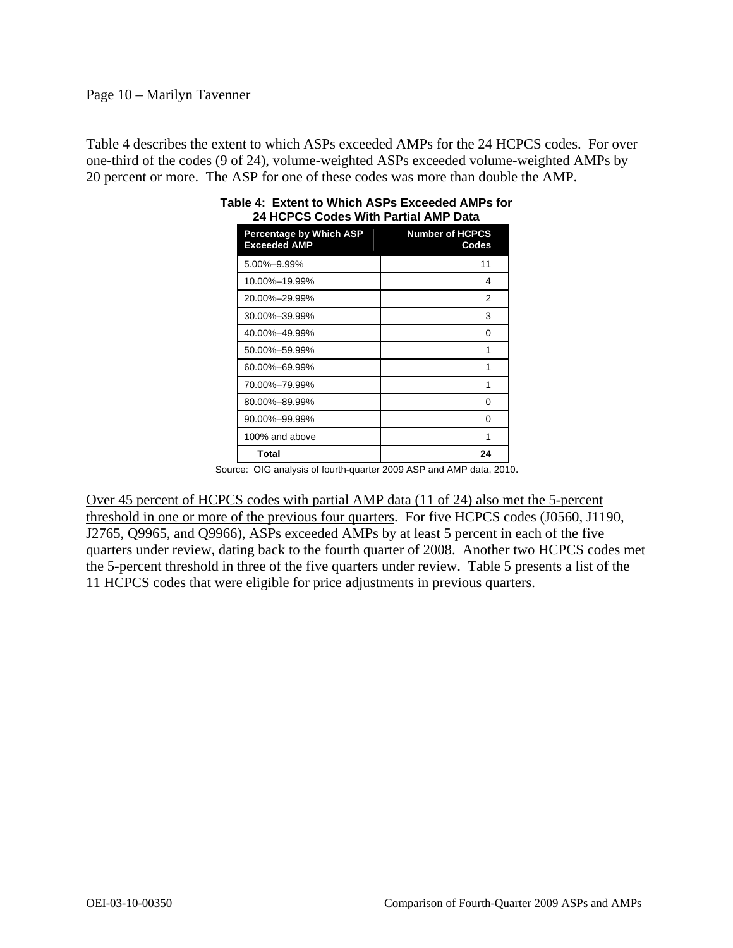## Page 10 – Marilyn Tavenner

Table 4 describes the extent to which ASPs exceeded AMPs for the 24 HCPCS codes. For over one-third of the codes (9 of 24), volume-weighted ASPs exceeded volume-weighted AMPs by 20 percent or more. The ASP for one of these codes was more than double the AMP.

| 49 TIUTUJ UUUTS YYILII FAILIAI AMF DALA        |                                 |  |  |
|------------------------------------------------|---------------------------------|--|--|
| Percentage by Which ASP<br><b>Exceeded AMP</b> | <b>Number of HCPCS</b><br>Codes |  |  |
| 5.00%-9.99%                                    | 11                              |  |  |
| 10.00%-19.99%                                  | 4                               |  |  |
| 20.00%-29.99%                                  | 2                               |  |  |
| 30.00%-39.99%                                  | 3                               |  |  |
| 40.00%-49.99%                                  | 0                               |  |  |
| 50.00%-59.99%                                  | 1                               |  |  |
| 60.00%-69.99%                                  | 1                               |  |  |
| 70.00%-79.99%                                  | 1                               |  |  |
| 80.00%-89.99%                                  | 0                               |  |  |
| 90.00%-99.99%                                  | 0                               |  |  |
| 100% and above                                 | 1                               |  |  |
| <b>Total</b>                                   | 24                              |  |  |

| Table 4: Extent to Which ASPs Exceeded AMPs for |
|-------------------------------------------------|
| 24 HCPCS Codes With Partial AMP Data            |

Source: OIG analysis of fourth-quarter 2009 ASP and AMP data, 2010.

Over 45 percent of HCPCS codes with partial AMP data (11 of 24) also met the 5-percent threshold in one or more of the previous four quarters. For five HCPCS codes (J0560, J1190, J2765, Q9965, and Q9966), ASPs exceeded AMPs by at least 5 percent in each of the five quarters under review, dating back to the fourth quarter of 2008. Another two HCPCS codes met the 5-percent threshold in three of the five quarters under review. Table 5 presents a list of the 11 HCPCS codes that were eligible for price adjustments in previous quarters.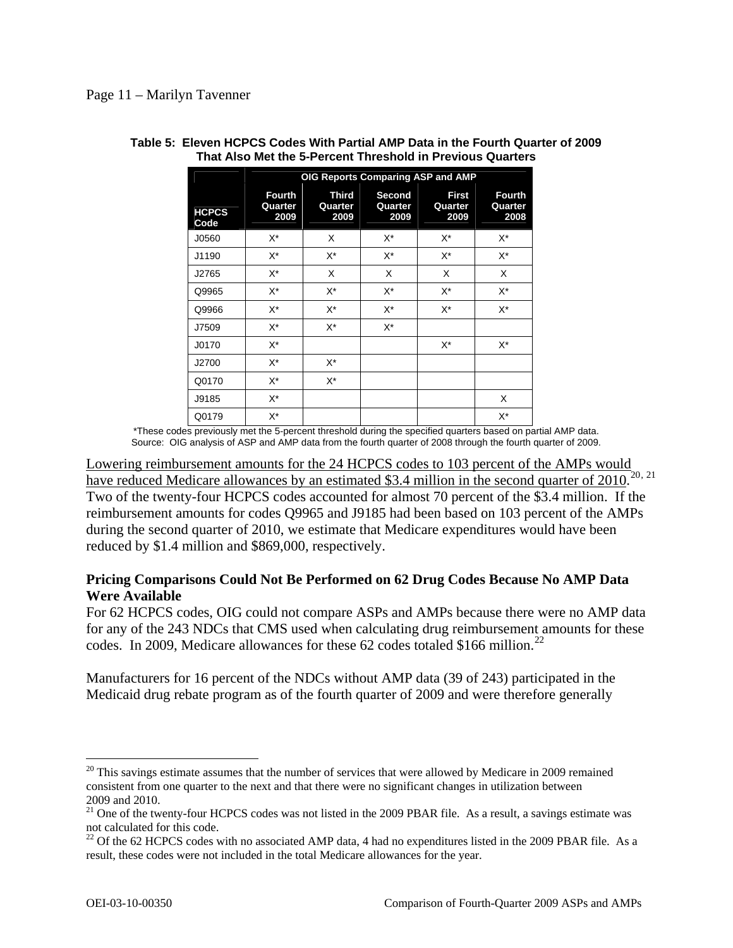|                      | OIG Reports Comparing ASP and AMP |                                 |                           |                                 |                                  |
|----------------------|-----------------------------------|---------------------------------|---------------------------|---------------------------------|----------------------------------|
| <b>HCPCS</b><br>Code | <b>Fourth</b><br>Quarter<br>2009  | <b>Third</b><br>Quarter<br>2009 | Second<br>Quarter<br>2009 | <b>First</b><br>Quarter<br>2009 | <b>Fourth</b><br>Quarter<br>2008 |
| J0560                | X*                                | X                               | X*                        | X*                              | $X^*$                            |
| J1190                | X*                                | X*                              | X*                        | $X^*$                           | $X^*$                            |
| J2765                | X*                                | X                               | X                         | X                               | X                                |
| Q9965                | X*                                | X*                              | X*                        | $X^*$                           | $X^*$                            |
| Q9966                | X*                                | X*                              | X*                        | X*                              | X*                               |
| J7509                | X*                                | $X^*$                           | $X^*$                     |                                 |                                  |
| J0170                | X*                                |                                 |                           | $X^*$                           | $X^*$                            |
| J2700                | X*                                | $X^*$                           |                           |                                 |                                  |
| Q0170                | X*                                | X*                              |                           |                                 |                                  |
| J9185                | X*                                |                                 |                           |                                 | X                                |
| Q0179                | X*                                |                                 |                           |                                 | $X^*$                            |

#### **Table 5: Eleven HCPCS Codes With Partial AMP Data in the Fourth Quarter of 2009 That Also Met the 5-Percent Threshold in Previous Quarters**

\*These codes previously met the 5-percent threshold during the specified quarters based on partial AMP data. Source: OIG analysis of ASP and AMP data from the fourth quarter of 2008 through the fourth quarter of 2009.

Lowering reimbursement amounts for the 24 HCPCS codes to 103 percent of the AMPs would have reduced Medicare allowances by an estimated \$3.4 million in the second quarter of  $2010$  $2010$ <sup>20, [21](#page-10-1)</sup> Two of the twenty-four HCPCS codes accounted for almost 70 percent of the \$3.4 million. If the reimbursement amounts for codes Q9965 and J9185 had been based on 103 percent of the AMPs during the second quarter of 2010, we estimate that Medicare expenditures would have been reduced by \$1.4 million and \$869,000, respectively.

## **Pricing Comparisons Could Not Be Performed on 62 Drug Codes Because No AMP Data Were Available**

For 62 HCPCS codes, OIG could not compare ASPs and AMPs because there were no AMP data for any of the 243 NDCs that CMS used when calculating drug reimbursement amounts for these codes. In 2009, Medicare allowances for these 62 codes totaled \$166 million.<sup>[22](#page-10-2)</sup>

Manufacturers for 16 percent of the NDCs without AMP data (39 of 243) participated in the Medicaid drug rebate program as of the fourth quarter of 2009 and were therefore generally

<span id="page-10-0"></span><sup>&</sup>lt;sup>20</sup> This savings estimate assumes that the number of services that were allowed by Medicare in 2009 remained consistent from one quarter to the next and that there were no significant changes in utilization between 2009 and 2010.

<span id="page-10-1"></span><sup>&</sup>lt;sup>21</sup> One of the twenty-four HCPCS codes was not listed in the 2009 PBAR file. As a result, a savings estimate was not calculated for this code.

<span id="page-10-2"></span> $22$  Of the 62 HCPCS codes with no associated AMP data, 4 had no expenditures listed in the 2009 PBAR file. As a result, these codes were not included in the total Medicare allowances for the year.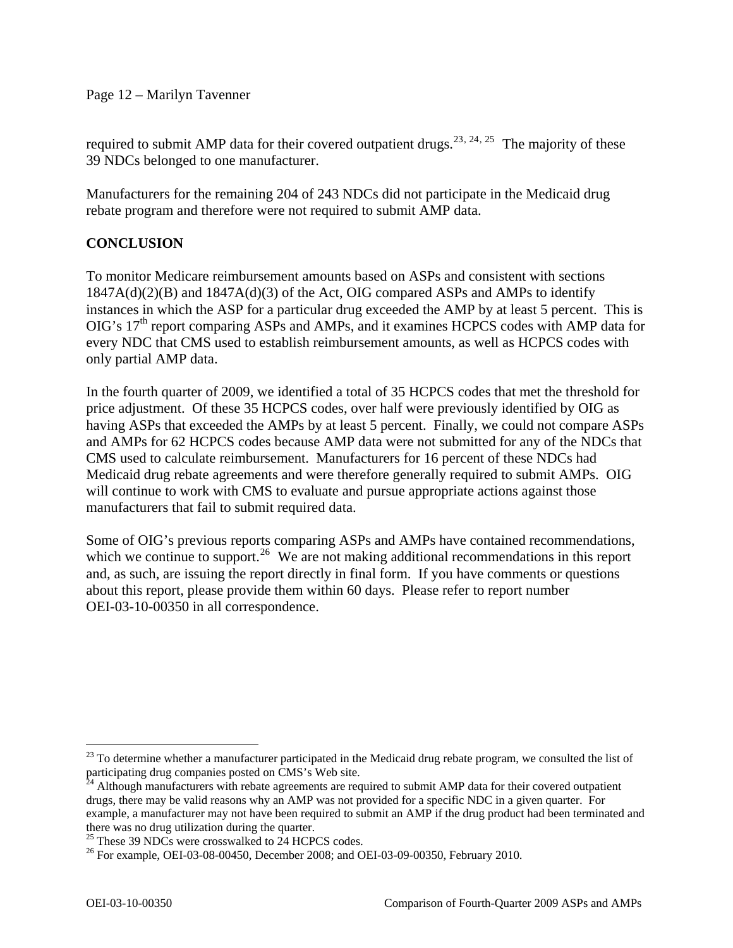Page 12 – Marilyn Tavenner

required to submit AMP data for their covered outpatient drugs.<sup>[23](#page-11-0), [24](#page-11-1), [25](#page-11-2)</sup> The majority of these 39 NDCs belonged to one manufacturer.

Manufacturers for the remaining 204 of 243 NDCs did not participate in the Medicaid drug rebate program and therefore were not required to submit AMP data.

# **CONCLUSION**

To monitor Medicare reimbursement amounts based on ASPs and consistent with sections  $1847A(d)(2)(B)$  and  $1847A(d)(3)$  of the Act, OIG compared ASPs and AMPs to identify instances in which the ASP for a particular drug exceeded the AMP by at least 5 percent. This is OIG's 17<sup>th</sup> report comparing ASPs and AMPs, and it examines HCPCS codes with AMP data for every NDC that CMS used to establish reimbursement amounts, as well as HCPCS codes with only partial AMP data.

In the fourth quarter of 2009, we identified a total of 35 HCPCS codes that met the threshold for price adjustment. Of these 35 HCPCS codes, over half were previously identified by OIG as having ASPs that exceeded the AMPs by at least 5 percent. Finally, we could not compare ASPs and AMPs for 62 HCPCS codes because AMP data were not submitted for any of the NDCs that CMS used to calculate reimbursement. Manufacturers for 16 percent of these NDCs had Medicaid drug rebate agreements and were therefore generally required to submit AMPs. OIG will continue to work with CMS to evaluate and pursue appropriate actions against those manufacturers that fail to submit required data.

Some of OIG's previous reports comparing ASPs and AMPs have contained recommendations, which we continue to support.<sup>[26](#page-11-3)</sup> We are not making additional recommendations in this report and, as such, are issuing the report directly in final form. If you have comments or questions about this report, please provide them within 60 days. Please refer to report number OEI-03-10-00350 in all correspondence.

<span id="page-11-0"></span> $23$  To determine whether a manufacturer participated in the Medicaid drug rebate program, we consulted the list of participating drug companies posted on CMS's Web site.

<span id="page-11-1"></span> $^{4}$  Although manufacturers with rebate agreements are required to submit AMP data for their covered outpatient drugs, there may be valid reasons why an AMP was not provided for a specific NDC in a given quarter. For example, a manufacturer may not have been required to submit an AMP if the drug product had been terminated and there was no drug utilization during the quarter.

<span id="page-11-2"></span><sup>&</sup>lt;sup>25</sup> These 39 NDCs were crosswalked to 24 HCPCS codes.

<span id="page-11-3"></span><sup>&</sup>lt;sup>26</sup> For example, OEI-03-08-00450, December 2008; and OEI-03-09-00350, February 2010.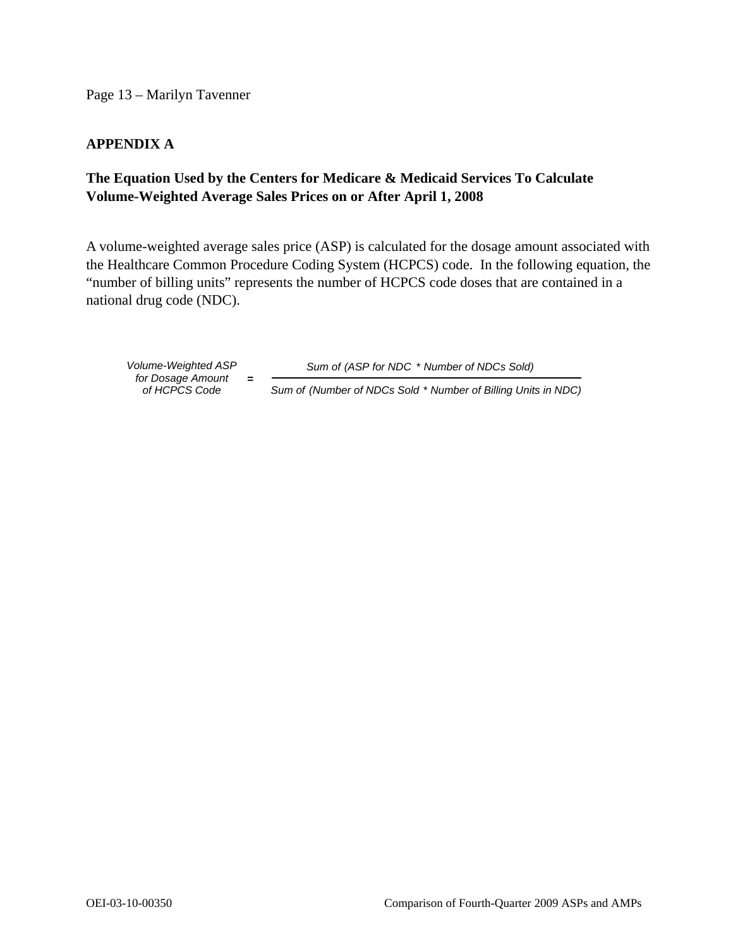Page 13 – Marilyn Tavenner

## **APPENDIX A**

# **The Equation Used by the Centers for Medicare & Medicaid Services To Calculate Volume-Weighted Average Sales Prices on or After April 1, 2008**

A volume-weighted average sales price (ASP) is calculated for the dosage amount associated with the Healthcare Common Procedure Coding System (HCPCS) code. In the following equation, the "number of billing units" represents the number of HCPCS code doses that are contained in a national drug code (NDC).

*of HCPCS Co de for Dosage Amount* **=** 

*Volume-Weighted ASP Sum of (ASP for NDC* \* *Number of NDCs Sold)*

*Sum of (Number of NDCs Sold* \* *Number of Billing Units in NDC)*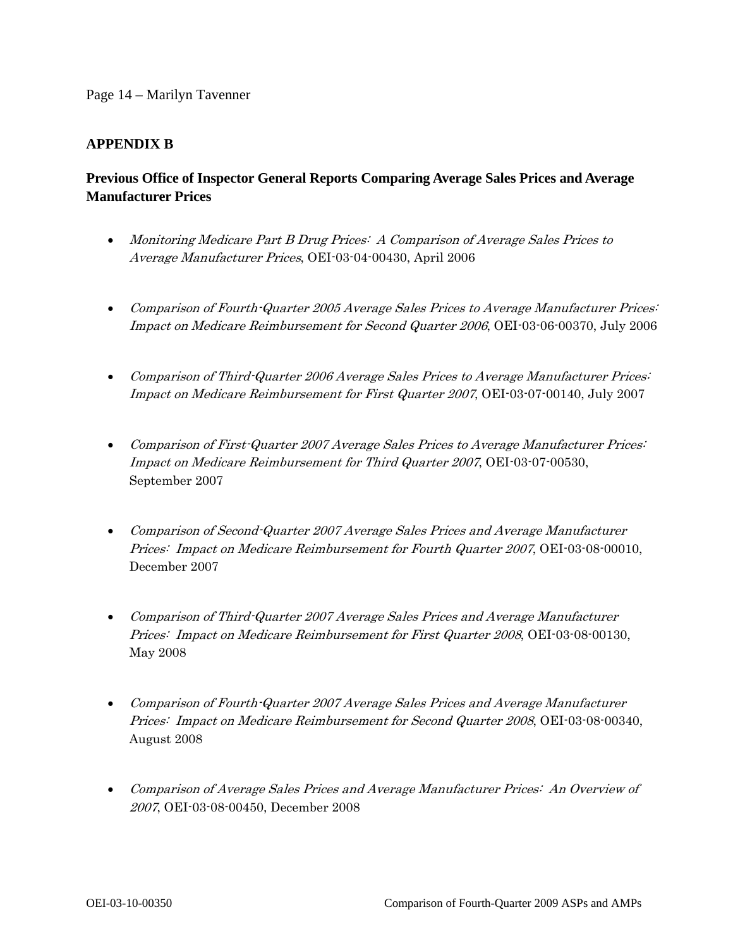### Page 14 – Marilyn Tavenner

## **APPENDIX B**

# **Previous Office of Inspector General Reports Comparing Average Sales Prices and Average Manufacturer Prices**

- Monitoring Medicare Part B Drug Prices: A Comparison of Average Sales Prices to Average Manufacturer Prices, OEI-03-04-00430, April 2006
- Comparison of Fourth-Quarter 2005 Average Sales Prices to Average Manufacturer Prices: Impact on Medicare Reimbursement for Second Quarter 2006, OEI-03-06-00370, July 2006
- Comparison of Third-Quarter 2006 Average Sales Prices to Average Manufacturer Prices: Impact on Medicare Reimbursement for First Quarter 2007, OEI-03-07-00140, July 2007
- Comparison of First-Quarter 2007 Average Sales Prices to Average Manufacturer Prices: Impact on Medicare Reimbursement for Third Quarter 2007, OEI-03-07-00530, September 2007
- Comparison of Second-Quarter 2007 Average Sales Prices and Average Manufacturer Prices: Impact on Medicare Reimbursement for Fourth Quarter 2007, OEI-03-08-00010, December 2007
- Comparison of Third-Quarter 2007 Average Sales Prices and Average Manufacturer Prices: Impact on Medicare Reimbursement for First Quarter 2008, OEI-03-08-00130, May 2008
- Comparison of Fourth-Quarter 2007 Average Sales Prices and Average Manufacturer Prices: Impact on Medicare Reimbursement for Second Quarter 2008, OEI-03-08-00340, August 2008
- Comparison of Average Sales Prices and Average Manufacturer Prices: An Overview of 2007, OEI-03-08-00450, December 2008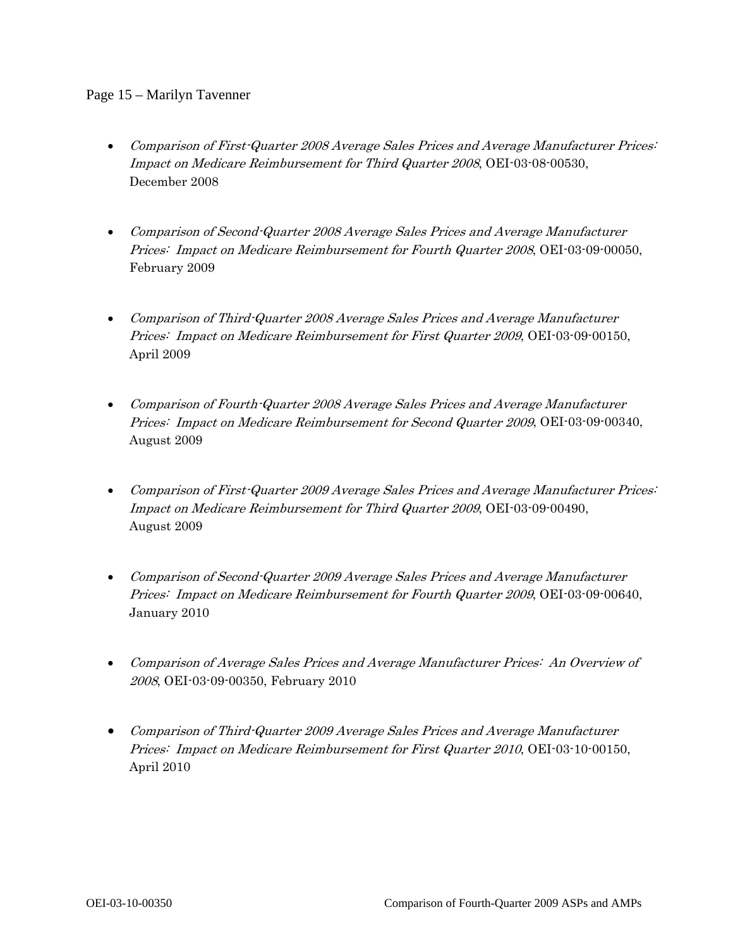### Page 15 – Marilyn Tavenner

- Comparison of First-Quarter 2008 Average Sales Prices and Average Manufacturer Prices: Impact on Medicare Reimbursement for Third Quarter 2008, OEI-03-08-00530, December 2008
- Comparison of Second-Quarter 2008 Average Sales Prices and Average Manufacturer Prices: Impact on Medicare Reimbursement for Fourth Quarter 2008, OEI-03-09-00050, February 2009
- Comparison of Third-Quarter 2008 Average Sales Prices and Average Manufacturer Prices: Impact on Medicare Reimbursement for First Quarter 2009, OEI-03-09-00150, April 2009
- Comparison of Fourth-Quarter 2008 Average Sales Prices and Average Manufacturer Prices: Impact on Medicare Reimbursement for Second Quarter 2009, OEI-03-09-00340, August 2009
- Comparison of First-Quarter 2009 Average Sales Prices and Average Manufacturer Prices: Impact on Medicare Reimbursement for Third Quarter 2009, OEI-03-09-00490, August 2009
- Comparison of Second-Quarter 2009 Average Sales Prices and Average Manufacturer Prices: Impact on Medicare Reimbursement for Fourth Quarter 2009, OEI-03-09-00640, January 2010
- Comparison of Average Sales Prices and Average Manufacturer Prices: An Overview of 2008, OEI-03-09-00350, February 2010
- Comparison of Third-Quarter 2009 Average Sales Prices and Average Manufacturer Prices: Impact on Medicare Reimbursement for First Quarter 2010, OEI-03-10-00150, April 2010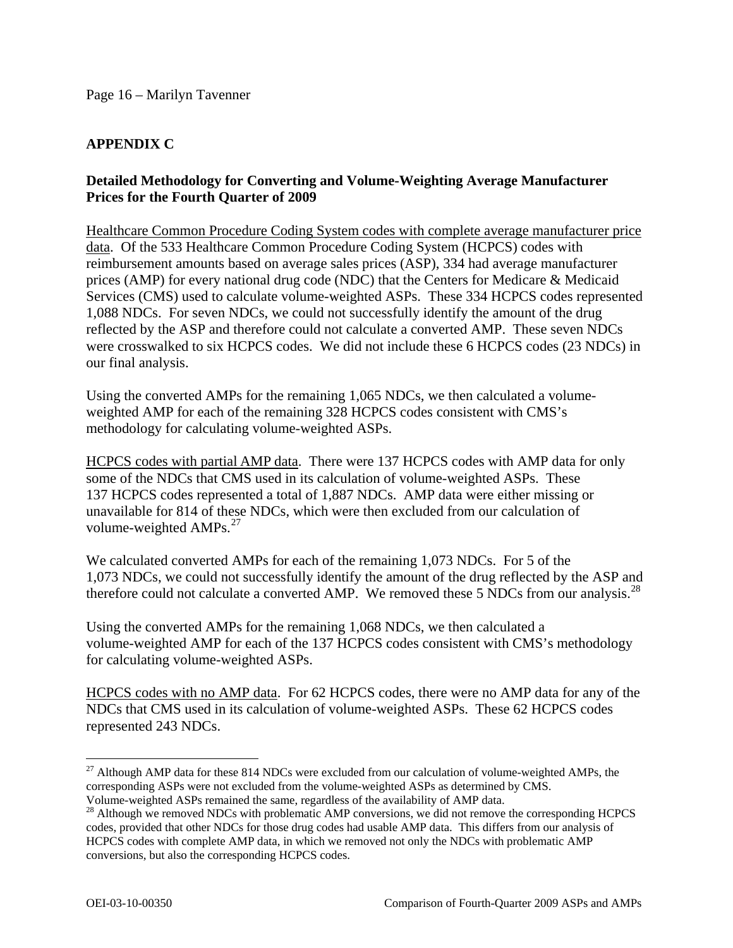# **APPENDIX C**

## **Detailed Methodology for Converting and Volume-Weighting Average Manufacturer Prices for the Fourth Quarter of 2009**

Healthcare Common Procedure Coding System codes with complete average manufacturer price data. Of the 533 Healthcare Common Procedure Coding System (HCPCS) codes with reimbursement amounts based on average sales prices (ASP), 334 had average manufacturer prices (AMP) for every national drug code (NDC) that the Centers for Medicare & Medicaid Services (CMS) used to calculate volume-weighted ASPs. These 334 HCPCS codes represented 1,088 NDCs. For seven NDCs, we could not successfully identify the amount of the drug reflected by the ASP and therefore could not calculate a converted AMP. These seven NDCs were crosswalked to six HCPCS codes. We did not include these 6 HCPCS codes (23 NDCs) in our final analysis.

Using the converted AMPs for the remaining 1,065 NDCs, we then calculated a volumeweighted AMP for each of the remaining 328 HCPCS codes consistent with CMS's methodology for calculating volume-weighted ASPs.

HCPCS codes with partial AMP data. There were 137 HCPCS codes with AMP data for only some of the NDCs that CMS used in its calculation of volume-weighted ASPs. These 137 HCPCS codes represented a total of 1,887 NDCs. AMP data were either missing or unavailable for 814 of these NDCs, which were then excluded from our calculation of volume-weighted  $AMPs.<sup>27</sup>$  $AMPs.<sup>27</sup>$  $AMPs.<sup>27</sup>$ 

We calculated converted AMPs for each of the remaining 1,073 NDCs. For 5 of the 1,073 NDCs, we could not successfully identify the amount of the drug reflected by the ASP and therefore could not calculate a converted AMP. We removed these 5 NDCs from our analysis.<sup>[28](#page-15-1)</sup>

Using the converted AMPs for the remaining 1,068 NDCs, we then calculated a volume-weighted AMP for each of the 137 HCPCS codes consistent with CMS's methodology for calculating volume-weighted ASPs.

HCPCS codes with no AMP data. For 62 HCPCS codes, there were no AMP data for any of the NDCs that CMS used in its calculation of volume-weighted ASPs. These 62 HCPCS codes represented 243 NDCs.

<span id="page-15-0"></span> $\overline{a}$ <sup>27</sup> Although AMP data for these 814 NDCs were excluded from our calculation of volume-weighted AMPs, the corresponding ASPs were not excluded from the volume-weighted ASPs as determined by CMS. Volume-weighted ASPs remained the same, regardless of the availability of AMP data.

<span id="page-15-1"></span><sup>&</sup>lt;sup>28</sup> Although we removed NDCs with problematic AMP conversions, we did not remove the corresponding HCPCS codes, provided that other NDCs for those drug codes had usable AMP data. This differs from our analysis of HCPCS codes with complete AMP data, in which we removed not only the NDCs with problematic AMP conversions, but also the corresponding HCPCS codes.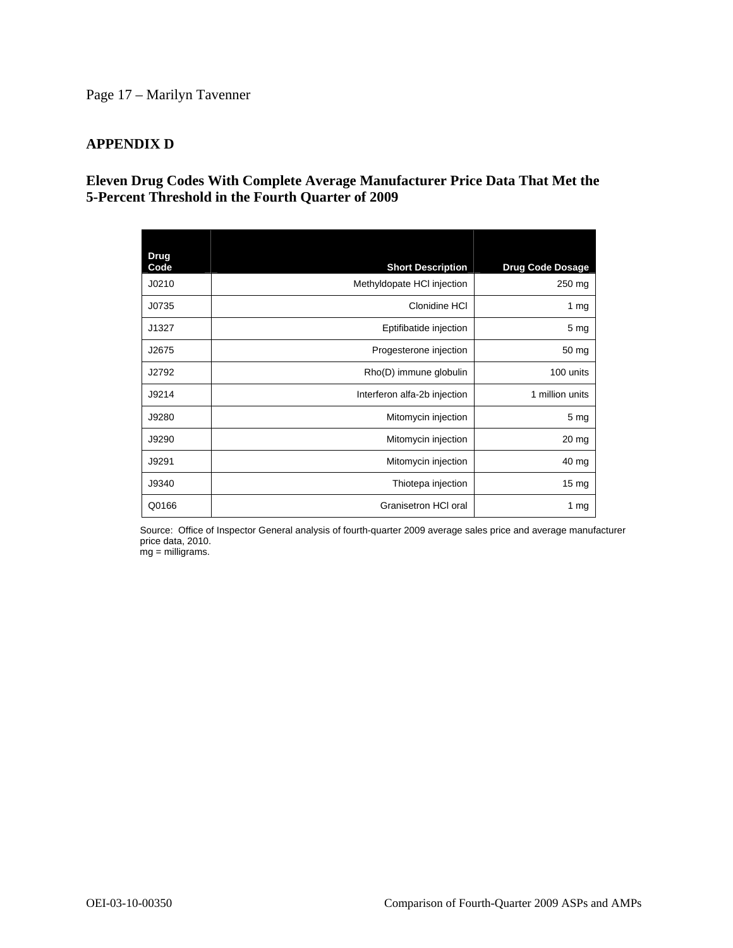## Page 17 – Marilyn Tavenner

## **APPENDIX D**

## **Eleven Drug Codes With Complete Average Manufacturer Price Data That Met the 5-Percent Threshold in the Fourth Quarter of 2009**

| <b>Drug</b><br>Code | <b>Short Description</b>     | <b>Drug Code Dosage</b> |
|---------------------|------------------------------|-------------------------|
| J0210               | Methyldopate HCI injection   | 250 mg                  |
| J0735               | Clonidine HCI                | 1 $mg$                  |
| J1327               | Eptifibatide injection       | 5 <sub>mg</sub>         |
| J2675               | Progesterone injection       | 50 mg                   |
| J2792               | Rho(D) immune globulin       | 100 units               |
| J9214               | Interferon alfa-2b injection | 1 million units         |
| J9280               | Mitomycin injection          | 5 <sub>mg</sub>         |
| J9290               | Mitomycin injection          | $20 \, mg$              |
| J9291               | Mitomycin injection          | 40 mg                   |
| J9340               | Thiotepa injection           | 15 <sub>mg</sub>        |
| Q0166               | Granisetron HCI oral         | 1 $mg$                  |

Source: Office of Inspector General analysis of fourth-quarter 2009 average sales price and average manufacturer price data, 2010.

mg = milligrams.